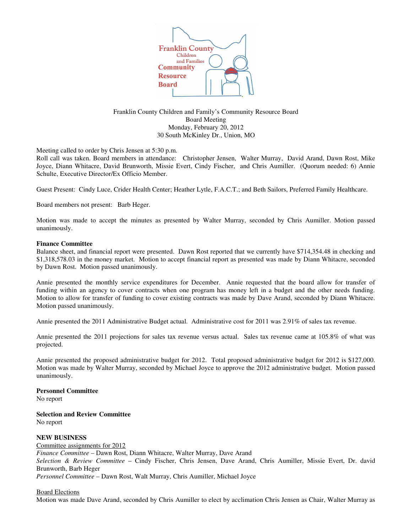

Franklin County Children and Family's Community Resource Board Board Meeting Monday, February 20, 2012 30 South McKinley Dr., Union, MO

Meeting called to order by Chris Jensen at 5:30 p.m.

Roll call was taken. Board members in attendance: Christopher Jensen, Walter Murray, David Arand, Dawn Rost, Mike Joyce, Diann Whitacre, David Brunworth, Missie Evert, Cindy Fischer, and Chris Aumiller. (Quorum needed: 6) Annie Schulte, Executive Director/Ex Officio Member.

Guest Present: Cindy Luce, Crider Health Center; Heather Lytle, F.A.C.T.; and Beth Sailors, Preferred Family Healthcare.

Board members not present: Barb Heger.

Motion was made to accept the minutes as presented by Walter Murray, seconded by Chris Aumiller. Motion passed unanimously.

#### **Finance Committee**

Balance sheet, and financial report were presented. Dawn Rost reported that we currently have \$714,354.48 in checking and \$1,318,578.03 in the money market. Motion to accept financial report as presented was made by Diann Whitacre, seconded by Dawn Rost. Motion passed unanimously.

Annie presented the monthly service expenditures for December. Annie requested that the board allow for transfer of funding within an agency to cover contracts when one program has money left in a budget and the other needs funding. Motion to allow for transfer of funding to cover existing contracts was made by Dave Arand, seconded by Diann Whitacre. Motion passed unanimously.

Annie presented the 2011 Administrative Budget actual. Administrative cost for 2011 was 2.91% of sales tax revenue.

Annie presented the 2011 projections for sales tax revenue versus actual. Sales tax revenue came at 105.8% of what was projected.

Annie presented the proposed administrative budget for 2012. Total proposed administrative budget for 2012 is \$127,000. Motion was made by Walter Murray, seconded by Michael Joyce to approve the 2012 administrative budget. Motion passed unanimously.

# **Personnel Committee**

No report

#### **Selection and Review Committee** No report

# **NEW BUSINESS**

Committee assignments for 2012 *Finance Committee* – Dawn Rost, Diann Whitacre, Walter Murray, Dave Arand *Selection & Review Committee* – Cindy Fischer, Chris Jensen, Dave Arand, Chris Aumiller, Missie Evert, Dr. david Brunworth, Barb Heger *Personnel Committee* – Dawn Rost, Walt Murray, Chris Aumiller, Michael Joyce

#### Board Elections

Motion was made Dave Arand, seconded by Chris Aumiller to elect by acclimation Chris Jensen as Chair, Walter Murray as